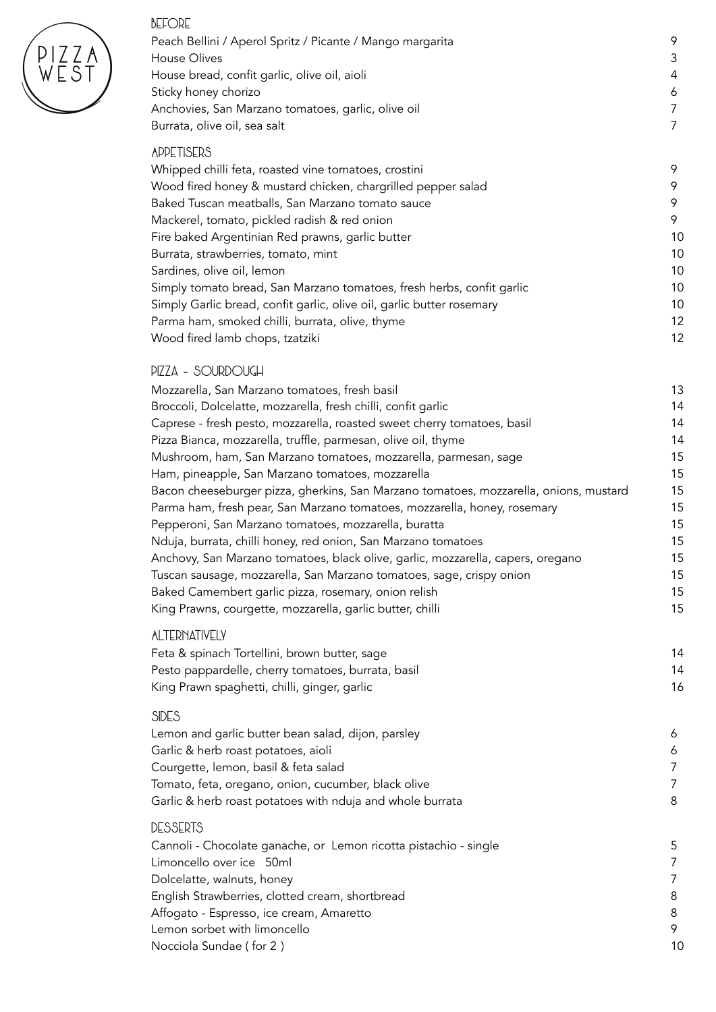| <b>BEFORE</b><br>Peach Bellini / Aperol Spritz / Picante / Mango margarita                                                                              | 9              |
|---------------------------------------------------------------------------------------------------------------------------------------------------------|----------------|
| <b>House Olives</b>                                                                                                                                     | 3              |
| House bread, confit garlic, olive oil, aioli                                                                                                            | 4              |
| Sticky honey chorizo                                                                                                                                    | 6              |
| Anchovies, San Marzano tomatoes, garlic, olive oil                                                                                                      | 7              |
| Burrata, olive oil, sea salt                                                                                                                            | $\overline{7}$ |
| <b>APPETISERS</b>                                                                                                                                       |                |
| Whipped chilli feta, roasted vine tomatoes, crostini                                                                                                    | 9              |
| Wood fired honey & mustard chicken, chargrilled pepper salad                                                                                            | 9              |
| Baked Tuscan meatballs, San Marzano tomato sauce                                                                                                        | 9              |
| Mackerel, tomato, pickled radish & red onion                                                                                                            | 9              |
| Fire baked Argentinian Red prawns, garlic butter                                                                                                        | 10             |
| Burrata, strawberries, tomato, mint                                                                                                                     | 10             |
| Sardines, olive oil, lemon                                                                                                                              | 10             |
| Simply tomato bread, San Marzano tomatoes, fresh herbs, confit garlic                                                                                   | 10             |
| Simply Garlic bread, confit garlic, olive oil, garlic butter rosemary                                                                                   | 10             |
| Parma ham, smoked chilli, burrata, olive, thyme                                                                                                         | 12             |
| Wood fired lamb chops, tzatziki                                                                                                                         | 12             |
| PIZZA - SOURDOUGH                                                                                                                                       |                |
| Mozzarella, San Marzano tomatoes, fresh basil                                                                                                           | 13             |
| Broccoli, Dolcelatte, mozzarella, fresh chilli, confit garlic                                                                                           | 14             |
| Caprese - fresh pesto, mozzarella, roasted sweet cherry tomatoes, basil                                                                                 | 14             |
| Pizza Bianca, mozzarella, truffle, parmesan, olive oil, thyme                                                                                           | 14             |
| Mushroom, ham, San Marzano tomatoes, mozzarella, parmesan, sage                                                                                         | 15             |
| Ham, pineapple, San Marzano tomatoes, mozzarella                                                                                                        | 15             |
| Bacon cheeseburger pizza, gherkins, San Marzano tomatoes, mozzarella, onions, mustard                                                                   | 15             |
| Parma ham, fresh pear, San Marzano tomatoes, mozzarella, honey, rosemary                                                                                | 15             |
| Pepperoni, San Marzano tomatoes, mozzarella, buratta                                                                                                    | 15             |
| Nduja, burrata, chilli honey, red onion, San Marzano tomatoes                                                                                           | 15<br>15       |
| Anchovy, San Marzano tomatoes, black olive, garlic, mozzarella, capers, oregano<br>Tuscan sausage, mozzarella, San Marzano tomatoes, sage, crispy onion | 15             |
| Baked Camembert garlic pizza, rosemary, onion relish                                                                                                    | 15             |
| King Prawns, courgette, mozzarella, garlic butter, chilli                                                                                               | 15             |
| <b>ALTERNATIVELY</b>                                                                                                                                    |                |
| Feta & spinach Tortellini, brown butter, sage                                                                                                           | 14             |
| Pesto pappardelle, cherry tomatoes, burrata, basil                                                                                                      | 14             |
| King Prawn spaghetti, chilli, ginger, garlic                                                                                                            | 16             |
| <b>SIDES</b>                                                                                                                                            |                |
| Lemon and garlic butter bean salad, dijon, parsley                                                                                                      | 6              |
| Garlic & herb roast potatoes, aioli                                                                                                                     | 6              |
| Courgette, lemon, basil & feta salad                                                                                                                    | 7              |
| Tomato, feta, oregano, onion, cucumber, black olive                                                                                                     | 7              |
| Garlic & herb roast potatoes with nduja and whole burrata                                                                                               | 8              |
| <b>DESSERTS</b>                                                                                                                                         |                |
| Cannoli - Chocolate ganache, or Lemon ricotta pistachio - single                                                                                        | 5              |
| Limoncello over ice 50ml                                                                                                                                | 7              |
| Dolcelatte, walnuts, honey                                                                                                                              | 7              |
| English Strawberries, clotted cream, shortbread                                                                                                         | 8              |
| Affogato - Espresso, ice cream, Amaretto                                                                                                                | 8              |
| Lemon sorbet with limoncello                                                                                                                            | 9              |

PIZZA<br>WEST

Nocciola Sundae (for 2) 10